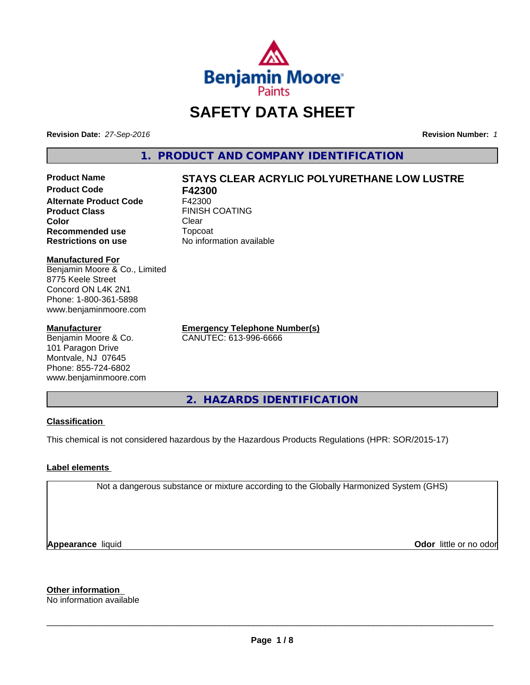

# **SAFETY DATA SHEET**

**Revision Date:** *27-Sep-2016* **Revision Number:** *1*

**1. PRODUCT AND COMPANY IDENTIFICATION**

**Product Code F42300 Alternate Product Code** F42300 **Product Class** FINISH COATING<br> **Color** Clear **Color** Clear Clear **Recommended use** Topcoat **Restrictions on use** No information available

# **Product Name STAYS CLEAR ACRYLIC POLYURETHANE LOW LUSTRE**

#### **Manufactured For**

Benjamin Moore & Co., Limited 8775 Keele Street Concord ON L4K 2N1 Phone: 1-800-361-5898 www.benjaminmoore.com

#### **Manufacturer**

Benjamin Moore & Co. 101 Paragon Drive Montvale, NJ 07645 Phone: 855-724-6802 www.benjaminmoore.com **Emergency Telephone Number(s)** CANUTEC: 613-996-6666

**2. HAZARDS IDENTIFICATION**

#### **Classification**

This chemical is not considered hazardous by the Hazardous Products Regulations (HPR: SOR/2015-17)

#### **Label elements**

Not a dangerous substance or mixture according to the Globally Harmonized System (GHS)

**Appearance** liquid

**Odor** little or no odor

**Other information**

No information available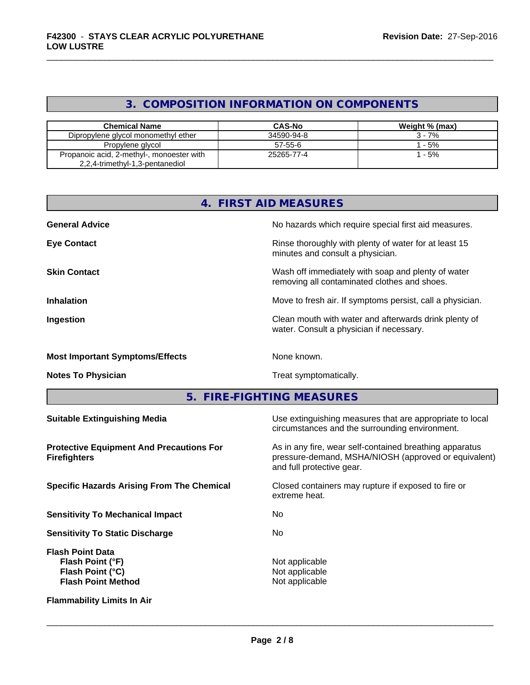## **3. COMPOSITION INFORMATION ON COMPONENTS**

| <b>Chemical Name</b>                                                         | <b>CAS-No</b> | Weight % (max) |
|------------------------------------------------------------------------------|---------------|----------------|
| Dipropylene glycol monomethyl ether                                          | 34590-94-8    | $3 - 7%$       |
| Propylene glycol                                                             | $57-55-6$     | $-5%$          |
| Propanoic acid, 2-methyl-, monoester with<br>2,2,4-trimethyl-1,3-pentanediol | 25265-77-4    | - 5%           |

| 4.                                                                                           | <b>FIRST AID MEASURES</b>                                                                                                                    |
|----------------------------------------------------------------------------------------------|----------------------------------------------------------------------------------------------------------------------------------------------|
| <b>General Advice</b>                                                                        | No hazards which require special first aid measures.                                                                                         |
| <b>Eye Contact</b>                                                                           | Rinse thoroughly with plenty of water for at least 15<br>minutes and consult a physician.                                                    |
| <b>Skin Contact</b>                                                                          | Wash off immediately with soap and plenty of water<br>removing all contaminated clothes and shoes.                                           |
| <b>Inhalation</b>                                                                            | Move to fresh air. If symptoms persist, call a physician.                                                                                    |
| Ingestion                                                                                    | Clean mouth with water and afterwards drink plenty of<br>water. Consult a physician if necessary.                                            |
| <b>Most Important Symptoms/Effects</b>                                                       | None known.                                                                                                                                  |
| <b>Notes To Physician</b>                                                                    | Treat symptomatically.                                                                                                                       |
| 5.                                                                                           | <b>FIRE-FIGHTING MEASURES</b>                                                                                                                |
| <b>Suitable Extinguishing Media</b>                                                          | Use extinguishing measures that are appropriate to local<br>circumstances and the surrounding environment.                                   |
| <b>Protective Equipment And Precautions For</b><br><b>Firefighters</b>                       | As in any fire, wear self-contained breathing apparatus<br>pressure-demand, MSHA/NIOSH (approved or equivalent)<br>and full protective gear. |
| <b>Specific Hazards Arising From The Chemical</b>                                            | Closed containers may rupture if exposed to fire or<br>extreme heat.                                                                         |
| <b>Sensitivity To Mechanical Impact</b>                                                      | No                                                                                                                                           |
| <b>Sensitivity To Static Discharge</b>                                                       | No                                                                                                                                           |
| <b>Flash Point Data</b><br>Flash Point (°F)<br>Flash Point (°C)<br><b>Flash Point Method</b> | Not applicable<br>Not applicable<br>Not applicable                                                                                           |
| <b>Flammability Limits In Air</b>                                                            |                                                                                                                                              |
|                                                                                              |                                                                                                                                              |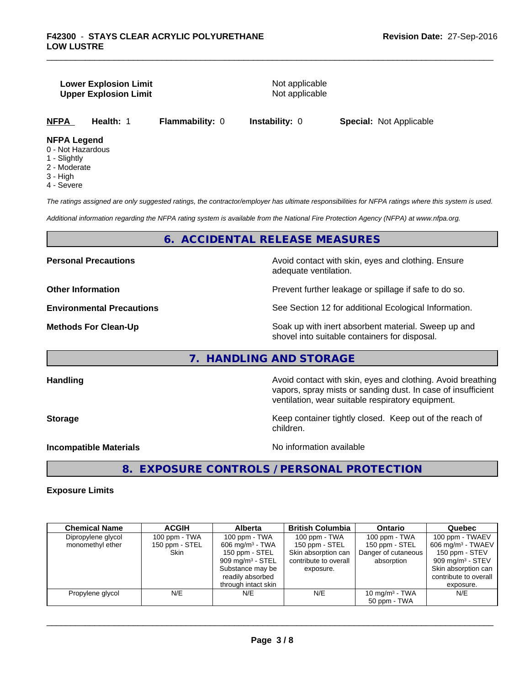#### **Lower Explosion Limit** Not applicable **Upper Explosion Limit** Not applicable

**NFPA Health:** 1 **Flammability:** 0 **Instability:** 0 **Special:** Not Applicable

#### **NFPA Legend**

- 0 Not Hazardous
- 1 Slightly
- 2 Moderate
- 3 High
- 4 Severe

*The ratings assigned are only suggested ratings, the contractor/employer has ultimate responsibilities for NFPA ratings where this system is used.*

*Additional information regarding the NFPA rating system is available from the National Fire Protection Agency (NFPA) at www.nfpa.org.*

### **6. ACCIDENTAL RELEASE MEASURES**

**Personal Precautions Avoid contact with skin, eyes and clothing. Ensure** Avoid contact with skin, eyes and clothing. Ensure adequate ventilation.

**Other Information Determined Information Prevent further leakage or spillage if safe to do so.** 

**Environmental Precautions** See Section 12 for additional Ecological Information.

**Methods For Clean-Up Example 20 All 20 All 20 All 20 Soak** up with inert absorbent material. Sweep up and shovel into suitable containers for disposal.

### **7. HANDLING AND STORAGE**

Handling **Handling Avoid contact with skin, eyes and clothing. Avoid breathing Handling** vapors, spray mists or sanding dust. In case of insufficient ventilation, wear suitable respiratory equipment.

**Storage** Storage **Keep container tightly closed.** Keep out of the reach of children.

**Incompatible Materials Incompatible Materials** 

 $\overline{\phantom{a}}$  ,  $\overline{\phantom{a}}$  ,  $\overline{\phantom{a}}$  ,  $\overline{\phantom{a}}$  ,  $\overline{\phantom{a}}$  ,  $\overline{\phantom{a}}$  ,  $\overline{\phantom{a}}$  ,  $\overline{\phantom{a}}$  ,  $\overline{\phantom{a}}$  ,  $\overline{\phantom{a}}$  ,  $\overline{\phantom{a}}$  ,  $\overline{\phantom{a}}$  ,  $\overline{\phantom{a}}$  ,  $\overline{\phantom{a}}$  ,  $\overline{\phantom{a}}$  ,  $\overline{\phantom{a}}$ 

**8. EXPOSURE CONTROLS / PERSONAL PROTECTION**

#### **Exposure Limits**

| <b>Chemical Name</b> | <b>ACGIH</b>   | Alberta                     | <b>British Columbia</b> | <b>Ontario</b>      | Quebec                        |
|----------------------|----------------|-----------------------------|-------------------------|---------------------|-------------------------------|
| Dipropylene glycol   | 100 ppm - TWA  | 100 ppm - TWA               | $100$ ppm - TWA         | 100 ppm - TWA       | 100 ppm - TWAEV               |
| monomethyl ether     | 150 ppm - STEL | $606 \text{ mg/m}^3$ - TWA  | 150 ppm - STEL          | 150 ppm - STEL      | 606 mg/m <sup>3</sup> - TWAEV |
|                      | Skin           | 150 ppm - STEL              | Skin absorption can     | Danger of cutaneous | 150 ppm - STEV                |
|                      |                | $909 \text{ mg/m}^3$ - STEL | contribute to overall   | absorption          | $909 \text{ mg/m}^3$ - STEV   |
|                      |                | Substance may be            | exposure.               |                     | Skin absorption can           |
|                      |                | readily absorbed            |                         |                     | contribute to overall         |
|                      |                | through intact skin         |                         |                     | exposure.                     |
| Propylene glycol     | N/E            | N/E                         | N/E                     | 10 mg/m $3$ - TWA   | N/E                           |
|                      |                |                             |                         | 50 ppm - TWA        |                               |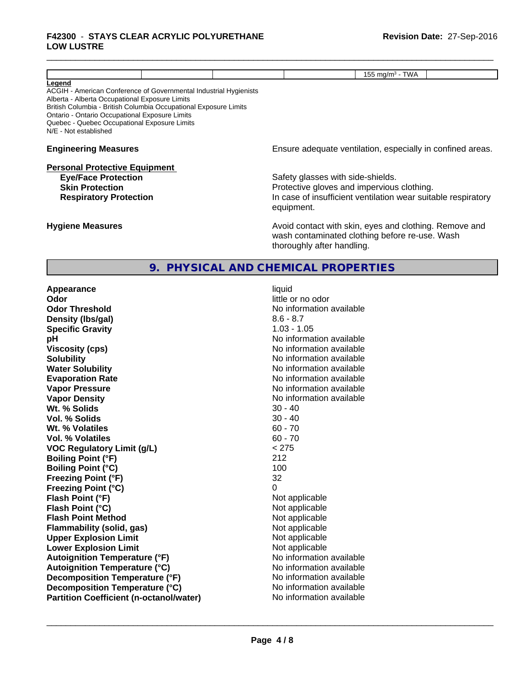#### \_\_\_\_\_\_\_\_\_\_\_\_\_\_\_\_\_\_\_\_\_\_\_\_\_\_\_\_\_\_\_\_\_\_\_\_\_\_\_\_\_\_\_\_\_\_\_\_\_\_\_\_\_\_\_\_\_\_\_\_\_\_\_\_\_\_\_\_\_\_\_\_\_\_\_\_\_\_\_\_\_\_\_\_\_\_\_\_\_\_\_\_\_ **F42300** - **STAYS CLEAR ACRYLIC POLYURETHANE LOW LUSTRE**

|                                                                                                                                                                                                                                                                                                                              | 155 mg/m $3$ - TWA                                                                                                                                             |  |  |
|------------------------------------------------------------------------------------------------------------------------------------------------------------------------------------------------------------------------------------------------------------------------------------------------------------------------------|----------------------------------------------------------------------------------------------------------------------------------------------------------------|--|--|
| Legend<br>ACGIH - American Conference of Governmental Industrial Hygienists<br>Alberta - Alberta Occupational Exposure Limits<br>British Columbia - British Columbia Occupational Exposure Limits<br>Ontario - Ontario Occupational Exposure Limits<br>Quebec - Quebec Occupational Exposure Limits<br>N/E - Not established |                                                                                                                                                                |  |  |
| <b>Engineering Measures</b>                                                                                                                                                                                                                                                                                                  | Ensure adequate ventilation, especially in confined areas.                                                                                                     |  |  |
| <b>Personal Protective Equipment</b><br><b>Eye/Face Protection</b><br><b>Skin Protection</b><br><b>Respiratory Protection</b>                                                                                                                                                                                                | Safety glasses with side-shields.<br>Protective gloves and impervious clothing.<br>In case of insufficient ventilation wear suitable respiratory<br>equipment. |  |  |
| <b>Hygiene Measures</b>                                                                                                                                                                                                                                                                                                      | Avoid contact with skin, eyes and clothing. Remove and<br>wash contaminated clothing before re-use. Wash<br>thoroughly after handling.                         |  |  |
|                                                                                                                                                                                                                                                                                                                              | 9. PHYSICAL AND CHEMICAL PROPERTIES                                                                                                                            |  |  |

| Appearance                                     | liquid                   |
|------------------------------------------------|--------------------------|
| Odor                                           | little or no odor        |
| <b>Odor Threshold</b>                          | No information available |
| Density (Ibs/gal)                              | $8.6 - 8.7$              |
| <b>Specific Gravity</b>                        | $1.03 - 1.05$            |
| рH                                             | No information available |
| <b>Viscosity (cps)</b>                         | No information available |
| <b>Solubility</b>                              | No information available |
| <b>Water Solubility</b>                        | No information available |
| <b>Evaporation Rate</b>                        | No information available |
| <b>Vapor Pressure</b>                          | No information available |
| <b>Vapor Density</b>                           | No information available |
| Wt. % Solids                                   | $30 - 40$                |
| Vol. % Solids                                  | $30 - 40$                |
| Wt. % Volatiles                                | $60 - 70$                |
| Vol. % Volatiles                               | $60 - 70$                |
| <b>VOC Regulatory Limit (g/L)</b>              | < 275                    |
| <b>Boiling Point (°F)</b>                      | 212                      |
| <b>Boiling Point (°C)</b>                      | 100                      |
| <b>Freezing Point (°F)</b>                     | 32                       |
| <b>Freezing Point (°C)</b>                     | 0                        |
| Flash Point (°F)                               | Not applicable           |
| Flash Point (°C)                               | Not applicable           |
| <b>Flash Point Method</b>                      | Not applicable           |
| <b>Flammability (solid, gas)</b>               | Not applicable           |
| <b>Upper Explosion Limit</b>                   | Not applicable           |
| <b>Lower Explosion Limit</b>                   | Not applicable           |
| <b>Autoignition Temperature (°F)</b>           | No information available |
| <b>Autoignition Temperature (°C)</b>           | No information available |
| Decomposition Temperature (°F)                 | No information available |
| Decomposition Temperature (°C)                 | No information available |
| <b>Partition Coefficient (n-octanol/water)</b> | No information available |

**No information available No information available No information available No information available**<br>30 - 40 **Not applicable Not applicable Not applicable Flammability (solid, gas)** Not applicable **Not applicable Not applicable Autoignition Temperature (°F)** No information available **No information available No information available No information available No information available**  $\overline{\phantom{a}}$  ,  $\overline{\phantom{a}}$  ,  $\overline{\phantom{a}}$  ,  $\overline{\phantom{a}}$  ,  $\overline{\phantom{a}}$  ,  $\overline{\phantom{a}}$  ,  $\overline{\phantom{a}}$  ,  $\overline{\phantom{a}}$  ,  $\overline{\phantom{a}}$  ,  $\overline{\phantom{a}}$  ,  $\overline{\phantom{a}}$  ,  $\overline{\phantom{a}}$  ,  $\overline{\phantom{a}}$  ,  $\overline{\phantom{a}}$  ,  $\overline{\phantom{a}}$  ,  $\overline{\phantom{a}}$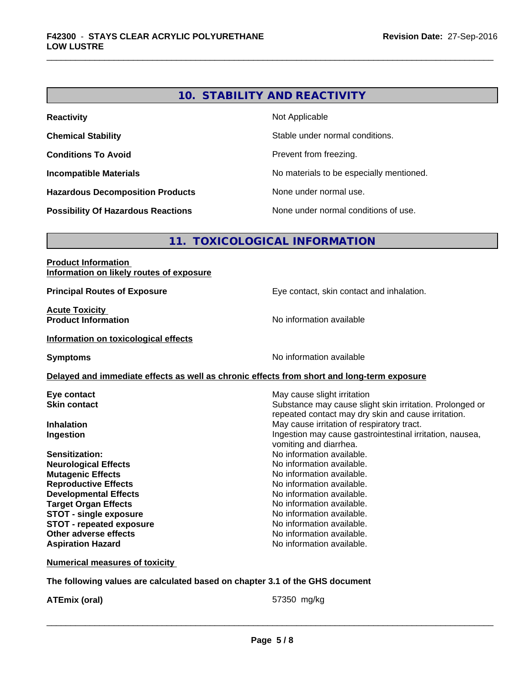# **10. STABILITY AND REACTIVITY**

| <b>Reactivity</b>                         | Not Applicable                           |
|-------------------------------------------|------------------------------------------|
| <b>Chemical Stability</b>                 | Stable under normal conditions.          |
| <b>Conditions To Avoid</b>                | Prevent from freezing.                   |
| <b>Incompatible Materials</b>             | No materials to be especially mentioned. |
| <b>Hazardous Decomposition Products</b>   | None under normal use.                   |
| <b>Possibility Of Hazardous Reactions</b> | None under normal conditions of use.     |

# **11. TOXICOLOGICAL INFORMATION**

| <b>Product Information</b><br>Information on likely routes of exposure                     |                                                          |
|--------------------------------------------------------------------------------------------|----------------------------------------------------------|
| <b>Principal Routes of Exposure</b>                                                        | Eye contact, skin contact and inhalation.                |
| <b>Acute Toxicity</b>                                                                      |                                                          |
| <b>Product Information</b>                                                                 | No information available                                 |
| Information on toxicological effects                                                       |                                                          |
| <b>Symptoms</b>                                                                            | No information available                                 |
| Delayed and immediate effects as well as chronic effects from short and long-term exposure |                                                          |
| Eye contact                                                                                | May cause slight irritation                              |
| <b>Skin contact</b>                                                                        | Substance may cause slight skin irritation. Prolonged or |
|                                                                                            | repeated contact may dry skin and cause irritation.      |
| <b>Inhalation</b>                                                                          | May cause irritation of respiratory tract.               |
| Ingestion                                                                                  | Ingestion may cause gastrointestinal irritation, nausea, |
| Sensitization:                                                                             | vomiting and diarrhea.<br>No information available.      |
|                                                                                            | No information available.                                |
| <b>Neurological Effects</b>                                                                | No information available.                                |
| <b>Mutagenic Effects</b><br><b>Reproductive Effects</b>                                    | No information available.                                |
| <b>Developmental Effects</b>                                                               | No information available.                                |
| <b>Target Organ Effects</b>                                                                | No information available.                                |
| <b>STOT - single exposure</b>                                                              | No information available.                                |
| <b>STOT - repeated exposure</b>                                                            | No information available.                                |
| Other adverse effects                                                                      | No information available.                                |
| <b>Aspiration Hazard</b>                                                                   | No information available.                                |
| <b>Numerical measures of toxicity</b>                                                      |                                                          |

**The following values are calculated based on chapter 3.1 of the GHS document**

**ATEmix (oral)** 67350 mg/kg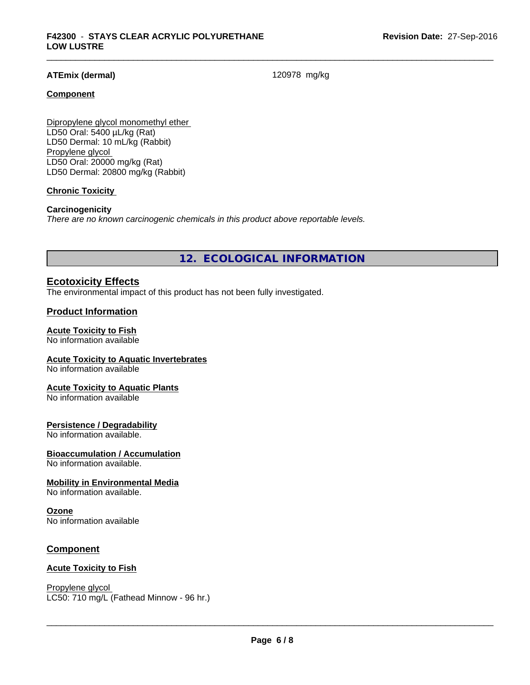#### **ATEmix (dermal)** 120978 mg/kg

#### **Component**

Dipropylene glycol monomethyl ether LD50 Oral: 5400 µL/kg (Rat) LD50 Dermal: 10 mL/kg (Rabbit) Propylene glycol LD50 Oral: 20000 mg/kg (Rat) LD50 Dermal: 20800 mg/kg (Rabbit)

#### **Chronic Toxicity**

#### **Carcinogenicity**

*There are no known carcinogenic chemicals in this product above reportable levels.*

**12. ECOLOGICAL INFORMATION**

#### **Ecotoxicity Effects**

The environmental impact of this product has not been fully investigated.

#### **Product Information**

#### **Acute Toxicity to Fish**

No information available

#### **Acute Toxicity to Aquatic Invertebrates**

No information available

#### **Acute Toxicity to Aquatic Plants**

No information available

#### **Persistence / Degradability**

No information available.

#### **Bioaccumulation / Accumulation**

No information available.

#### **Mobility in Environmental Media**

No information available.

#### **Ozone**

No information available

#### **Component**

#### **Acute Toxicity to Fish**

Propylene glycol \_\_\_\_\_\_\_\_\_\_\_\_\_\_\_\_\_\_\_\_\_\_\_\_\_\_\_\_\_\_\_\_\_\_\_\_\_\_\_\_\_\_\_\_\_\_\_\_\_\_\_\_\_\_\_\_\_\_\_\_\_\_\_\_\_\_\_\_\_\_\_\_\_\_\_\_\_\_\_\_\_\_\_\_\_\_\_\_\_\_\_\_\_ LC50: 710 mg/L (Fathead Minnow - 96 hr.)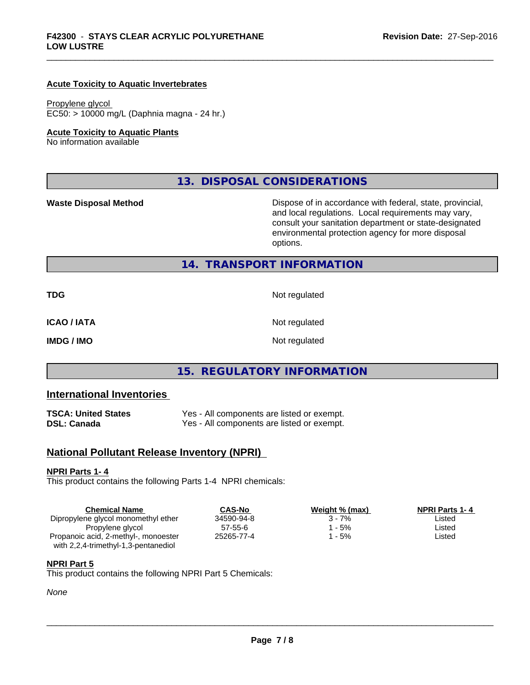#### **Acute Toxicity to Aquatic Invertebrates**

#### Propylene glycol

EC50: > 10000 mg/L (Daphnia magna - 24 hr.)

#### **Acute Toxicity to Aquatic Plants**

No information available

**13. DISPOSAL CONSIDERATIONS**

**Waste Disposal Method Dispose of in accordance with federal, state, provincial,** and local regulations. Local requirements may vary, consult your sanitation department or state-designated environmental protection agency for more disposal options.

#### **14. TRANSPORT INFORMATION**

| TDG         | Not regulated |
|-------------|---------------|
| ICAO / IATA | Not regulated |
| IMDG / IMO  | Not regulated |

# **15. REGULATORY INFORMATION**

#### **International Inventories**

| TSCA: United States | Yes - All components are listed or exempt. |
|---------------------|--------------------------------------------|
| DSL: Canada         | Yes - All components are listed or exempt. |

## **National Pollutant Release Inventory (NPRI)**

#### **NPRI Parts 1- 4**

This product contains the following Parts 1-4 NPRI chemicals:

| <b>Chemical Name</b>                 | <b>CAS-No</b> | Weight % (max) | <b>NPRI Parts 1-4</b> |  |
|--------------------------------------|---------------|----------------|-----------------------|--|
| Dipropylene glycol monomethyl ether  | 34590-94-8    | 3 - 7%         | Listed                |  |
| Propylene glycol                     | $57 - 55 - 6$ | - 5%           | Listed                |  |
| Propanoic acid, 2-methyl-, monoester | 25265-77-4    | ՝ - 5%         | Listed                |  |
| with 2,2,4-trimethyl-1,3-pentanediol |               |                |                       |  |

#### **NPRI Part 5**

This product contains the following NPRI Part 5 Chemicals:

#### *None*